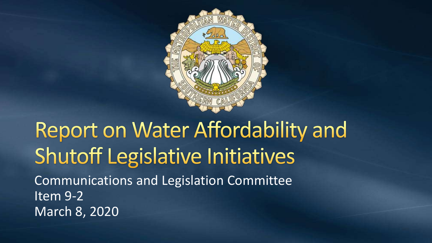

#### Report on Water Affordability and **Shutoff Legislative Initiatives** Communications and Legislation Committee Item 9-2 March 8, 2020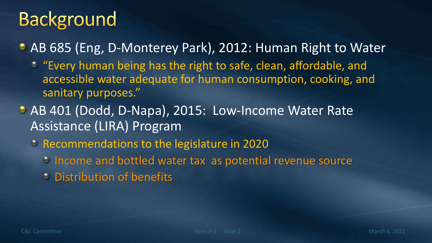AB 685 (Eng, D-Monterey Park), 2012: Human Right to Water

- "Every human being has the right to safe, clean, affordable, and accessible water adequate for human consumption, cooking, and sanitary purposes."
- AB 401 (Dodd, D-Napa), 2015: Low-Income Water Rate Assistance (LIRA) Program
	- Recommendations to the legislature in 2020
		- **Income and bottled water tax as potential revenue source**
		- Distribution of benefits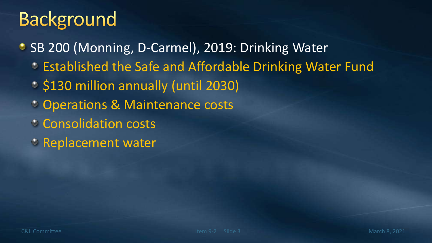- SB 200 (Monning, D-Carmel), 2019: Drinking Water
	- Established the Safe and Affordable Drinking Water Fund
	- \$130 million annually (until 2030)
	- **Conducitions & Maintenance costs**
	- Consolidation costs
	- **EXEM** Replacement water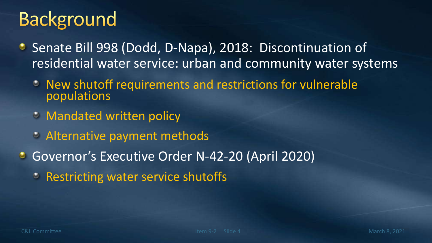- Senate Bill 998 (Dodd, D-Napa), 2018: Discontinuation of residential water service: urban and community water systems
	- New shutoff requirements and restrictions for vulnerable  $\circ$ populations
	- **EDD** Mandated written policy
	- Alternative payment methods
- Governor's Executive Order N-42-20 (April 2020)
	- **PRESTRICTING WATER SERVICE Shutoffs**

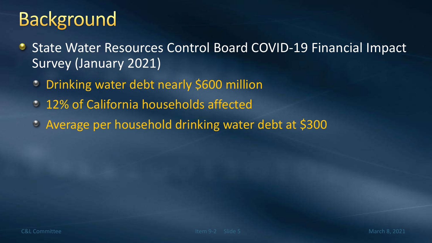- State Water Resources Control Board COVID-19 Financial Impact ۰ Survey (January 2021)
	- Drinking water debt nearly \$600 million  $\bullet$
	- 12% of California households affected
	- Average per household drinking water debt at \$300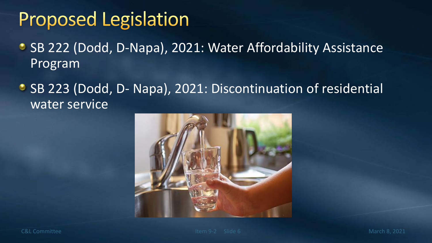# **Proposed Legislation**

- SB 222 (Dodd, D-Napa), 2021: Water Affordability Assistance Program
- SB 223 (Dodd, D- Napa), 2021: Discontinuation of residential water service



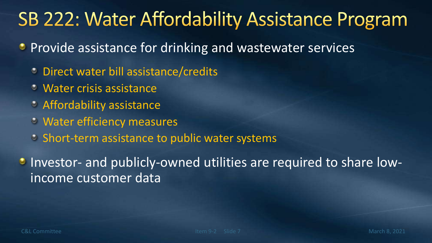# **SB 222: Water Affordability Assistance Program**

- **Provide assistance for drinking and wastewater services** 
	- **Direct water bill assistance/credits**
	- Water crisis assistance ۰
	- Affordability assistance
	- Water efficiency measures
	- Short-term assistance to public water systems

**Investor- and publicly-owned utilities are required to share low**income customer data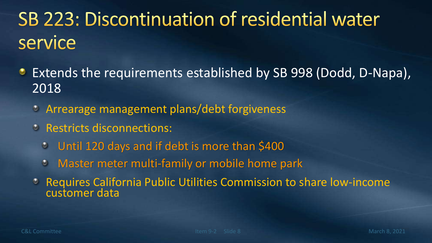# SB 223: Discontinuation of residential water service

- Extends the requirements established by SB 998 (Dodd, D-Napa), ۰ 2018
	- Arrearage management plans/debt forgiveness
	- **C** Restricts disconnections:
		- Until 120 days and if debt is more than \$400  $\bullet$
		- Master meter multi-family or mobile home park  $\bullet$
	- Requires California Public Utilities Commission to share low-income  $\circ$ customer data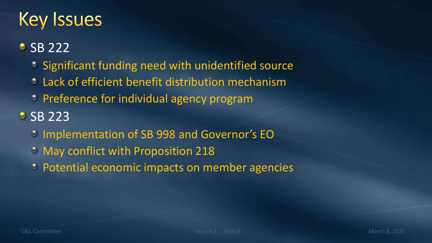# **Key Issues**

#### **SB 222**

- **Significant funding need with unidentified source**
- Lack of efficient benefit distribution mechanism  $\bullet$
- Preference for individual agency program

#### • SB 223

- Implementation of SB 998 and Governor's EO
- May conflict with Proposition 218
- Potential economic impacts on member agencies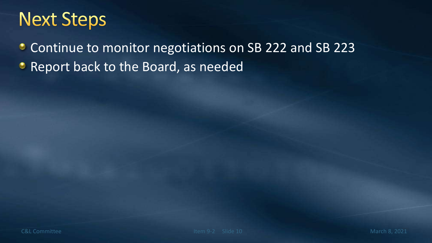# **Next Steps**

**Continue to monitor negotiations on SB 222 and SB 223** 

**• Report back to the Board, as needed**